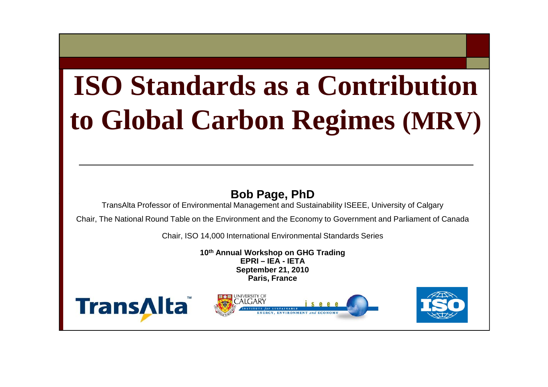# **ISO Standards as a Contribution to Global Carbon Regimes (MRV)**

#### **Bob Page, PhD**

TransAlta Professor of Environmental Management and Sustainability ISEEE, University of Calgary

Chair, The National Round Table on the Environment and the Economy to Government and Parliament of Canada

Chair, ISO 14,000 International Environmental Standards Series

**10th Annual Workshop on GHG Trading EPRI – IEA - IETASeptember 21, 2010 Paris, France**





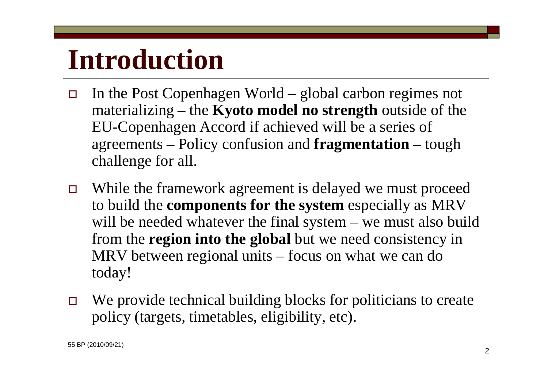# **Introduction**

- $\Box$  In the Post Copenhagen World – global carbon regimes not materializing – the **Kyoto model no strength** outside of the EU-Copenhagen Accord if achieved will be a series of agreements – Policy confusion and **fragmentation** – tough challenge for all.
- $\Box$  While the framework agreement is delayed we must proceed to build the **components for the system** especially as MRV will be needed whatever the final system – we must also build from the **region into the global** but we need consistency in MRV between regional units – focus on what we can do today!
- $\Box$ We provide technical building blocks for politicians to create policy (targets, timetables, eligibility, etc).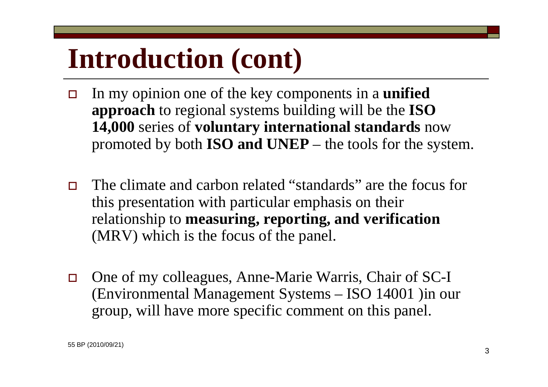# **Introduction (cont)**

- $\Box$  In my opinion one of the key components in a **unified approach** to regional systems building will be the **ISO 14,000** series of **voluntary international standards** now promoted by both **ISO and UNEP** – the tools for the system.
- $\Box$  The climate and carbon related "standards" are the focus for this presentation with particular emphasis on their relationship to **measuring, reporting, and verification**  (MRV) which is the focus of the panel.
- $\Box$  One of my colleagues, Anne-Marie Warris, Chair of SC-I (Environmental Management Systems – ISO 14001 )in our group, will have more specific comment on this panel.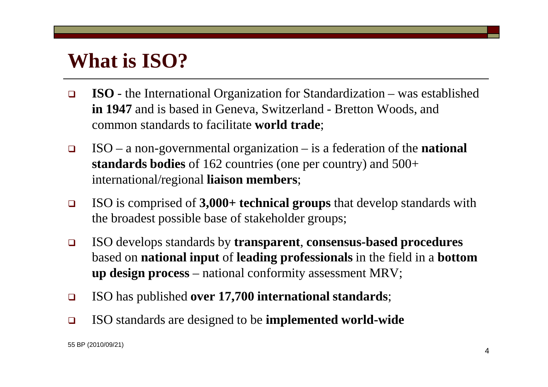## **What is ISO?**

- $\Box$  **ISO** - the International Organization for Standardization – was established **in 1947** and is based in Geneva, Switzerland - Bretton Woods, and common standards to facilitate **world trade**;
- $\Box$  ISO – a non-governmental organization – is a federation of the **national standards bodies** of 162 countries (one per country) and 500+ international/regional **liaison members**;
- $\Box$  ISO is comprised of **3,000+ technical groups** that develop standards with the broadest possible base of stakeholder groups;
- $\Box$  ISO develops standards by **transparent**, **consensus-based procedures**  based on **national input** of **leading professionals** in the field in a **bottom up design process** – national conformity assessment MRV;
- $\Box$ ISO has published **over 17,700 international standards**;
- $\Box$ ISO standards are designed to be **implemented world-wide**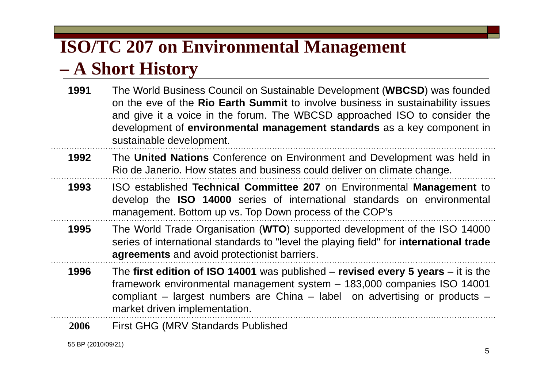### **ISO/TC 207 on Environmental Management**

#### **– A Short History**

- **1991** The World Business Council on Sustainable Development (**WBCSD**) was founded on the eve of the **Rio Earth Summit** to involve business in sustainability issues and give it <sup>a</sup> voice in the forum. The WBCSD approached ISO to consider the development of **environmental management standards** as <sup>a</sup> key component in sustainable development.
- **1992** The **United Nations** Conference on Environment and Development was held in Rio de Janerio. How states and business could deliver on climate change.
- **1993** ISO established **Technical Committee 207** on Environmental **Management** to develop the **ISO 14000** series of international standards on environmental management. Bottom up vs. Top Down process of the COP's
- **1995** The World Trade Organisation (**WTO**) supported development of the ISO 14000 series of international standards to "level the playing field" for **international trade agreements** and avoid protectionist barriers.
- **1996** The **first edition of ISO 14001** was published – **revised every 5 years** – it is the framework environmental management system – 183,000 companies ISO 14001 compliant – largest numbers are China – label on advertising or products – market driven implementation.
- **2006**First GHG (MRV Standards Published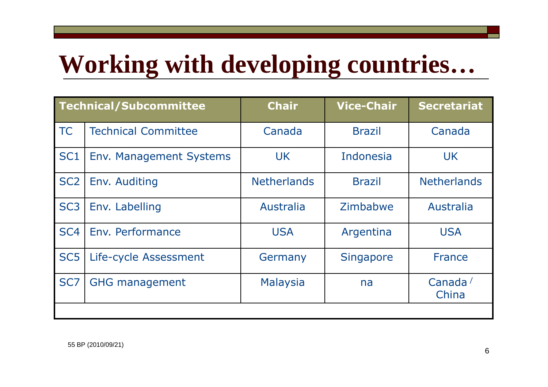# **Working with developing countries…**

| <b>Technical/Subcommittee</b> |                                | <b>Chair</b>                | <b>Vice-Chair</b> | <b>Secretariat</b>       |
|-------------------------------|--------------------------------|-----------------------------|-------------------|--------------------------|
| <b>TC</b>                     | <b>Technical Committee</b>     | Canada                      | <b>Brazil</b>     | Canada                   |
| SC <sub>1</sub>               | <b>Env. Management Systems</b> | <b>UK</b>                   | Indonesia         | <b>UK</b>                |
| SC <sub>2</sub>               | Env. Auditing                  | <b>Netherlands</b>          | <b>Brazil</b>     | <b>Netherlands</b>       |
| SC <sub>3</sub>               | Env. Labelling                 | Australia                   | Zimbabwe          | Australia                |
| SC <sub>4</sub>               | Env. Performance               | <b>USA</b>                  | Argentina         | <b>USA</b>               |
| SC <sub>5</sub>               | Life-cycle Assessment          | Germany<br><b>Singapore</b> |                   | <b>France</b>            |
| SC <sub>7</sub>               | <b>GHG management</b>          | <b>Malaysia</b>             | na                | Canada $\prime$<br>China |
|                               |                                |                             |                   |                          |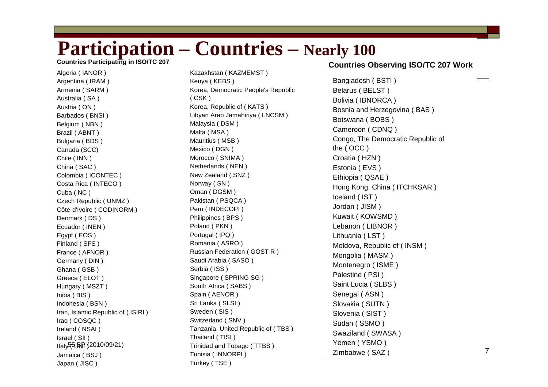## Participation – **Countries –** Nearly 100 **Countries Participating in ISO/TC 207**

Algeria ( IANOR ) Argentina ( IRAM ) Armenia ( SARM ) Australia ( SA ) Austria ( ON ) Barbados ( BNSI ) Belgium ( NBN ) Brazil ( ABNT ) Bulgaria ( BDS ) Canada (SCC) Chile ( INN ) China ( SAC ) Colombia ( ICONTEC ) Costa Rica ( INTECO ) Cuba ( NC ) Czech Republic ( UNMZ ) Côte-d'Ivoire ( CODINORM ) Denmark ( DS ) Ecuador ( INEN ) Egypt ( EOS ) Finland ( SFS ) France ( AFNOR ) Germany ( DIN ) Ghana ( GSB ) Greece ( ELOT ) Hungary ( MSZT ) India ( BIS ) Indonesia ( BSN ) Iran, Islamic Republic of ( ISIRI ) Iraq ( COSQC ) Ireland ( NSAI ) Israel ( SII ) Italy5୍5LRR (2010/09/21) Jamaica ( BSJ ) Japan ( JISC )

Kazakhstan ( KAZMEMST ) Kenya ( KEBS ) Korea, Democratic People's Republic ( CSK ) Korea, Republic of ( KATS ) Libyan Arab Jamahiriya ( LNCSM ) Malaysia ( DSM ) Malta ( MSA ) Mauritius ( MSB ) Mexico ( DGN ) Morocco ( SNIMA ) Netherlands ( NEN ) New Zealand ( SNZ ) Norway ( SN ) Oman ( DGSM ) Pakistan ( PSQCA ) Peru ( INDECOPI ) Philippines ( BPS ) Poland ( PKN ) Portugal ( IPQ ) Romania ( ASRO ) Russian Federation ( GOST R ) Saudi Arabia ( SASO ) Serbia ( ISS ) Singapore ( SPRING SG ) South Africa ( SABS ) Spain ( AENOR ) Sri Lanka ( SLSI ) Sweden ( SIS ) Switzerland ( SNV ) Tanzania, United Republic of ( TBS ) Thailand ( TISI ) Trinidad and Tobago ( TTBS ) Tunisia ( INNORPI ) Turkey ( TSE )

#### **Countries Observing ISO/TC 207 Work**

Bangladesh ( BSTI ) Belarus ( BELST ) Bolivia ( IBNORCA ) Bosnia and Herzegovina ( BAS ) Botswana ( BOBS ) Cameroon ( CDNQ ) Congo, The Democratic Republic of the ( OCC ) Croatia ( HZN ) Estonia ( EVS ) Ethiopia ( QSAE ) Hong Kong, China ( ITCHKSAR ) Iceland ( IST ) Jordan ( JISM ) Kuwait ( KOWSMD ) Lebanon ( LIBNOR ) Lithuania ( LST ) Moldova, Republic of ( INSM ) Mongolia ( MASM ) Montenegro ( ISME ) Palestine ( PSI ) Saint Lucia ( SLBS ) Senegal ( ASN ) Slovakia ( SUTN ) Slovenia ( SIST ) Sudan ( SSMO ) Swaziland ( SWASA ) Yemen ( YSMO ) Zimbabwe ( SAZ )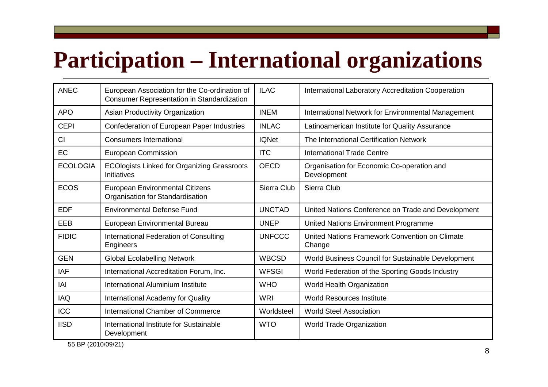## **Participation – International organizations**

| <b>ANEC</b>     | European Association for the Co-ordination of<br><b>Consumer Representation in Standardization</b> | <b>ILAC</b>   | <b>International Laboratory Accreditation Cooperation</b> |
|-----------------|----------------------------------------------------------------------------------------------------|---------------|-----------------------------------------------------------|
| <b>APO</b>      | Asian Productivity Organization                                                                    | <b>INEM</b>   | International Network for Environmental Management        |
| <b>CEPI</b>     | Confederation of European Paper Industries                                                         | <b>INLAC</b>  | Latinoamerican Institute for Quality Assurance            |
| CI              | <b>Consumers International</b>                                                                     | <b>IQNet</b>  | The International Certification Network                   |
| EC              | <b>European Commission</b>                                                                         | <b>ITC</b>    | <b>International Trade Centre</b>                         |
| <b>ECOLOGIA</b> | <b>ECOlogists Linked for Organizing Grassroots</b><br>Initiatives                                  | <b>OECD</b>   | Organisation for Economic Co-operation and<br>Development |
| <b>ECOS</b>     | <b>European Environmental Citizens</b><br>Organisation for Standardisation                         | Sierra Club   | Sierra Club                                               |
| <b>EDF</b>      | <b>Environmental Defense Fund</b>                                                                  | <b>UNCTAD</b> | United Nations Conference on Trade and Development        |
| EEB             | European Environmental Bureau                                                                      | <b>UNEP</b>   | United Nations Environment Programme                      |
| <b>FIDIC</b>    | International Federation of Consulting<br>Engineers                                                | <b>UNFCCC</b> | United Nations Framework Convention on Climate<br>Change  |
| <b>GEN</b>      | <b>Global Ecolabelling Network</b>                                                                 | <b>WBCSD</b>  | World Business Council for Sustainable Development        |
| <b>IAF</b>      | International Accreditation Forum, Inc.                                                            | <b>WFSGI</b>  | World Federation of the Sporting Goods Industry           |
| IAI             | International Aluminium Institute                                                                  | <b>WHO</b>    | World Health Organization                                 |
| <b>IAQ</b>      | International Academy for Quality                                                                  | <b>WRI</b>    | <b>World Resources Institute</b>                          |
| <b>ICC</b>      | <b>International Chamber of Commerce</b>                                                           | Worldsteel    | <b>World Steel Association</b>                            |
| <b>IISD</b>     | International Institute for Sustainable<br>Development                                             | <b>WTO</b>    | <b>World Trade Organization</b>                           |

55 BP (2010/09/21)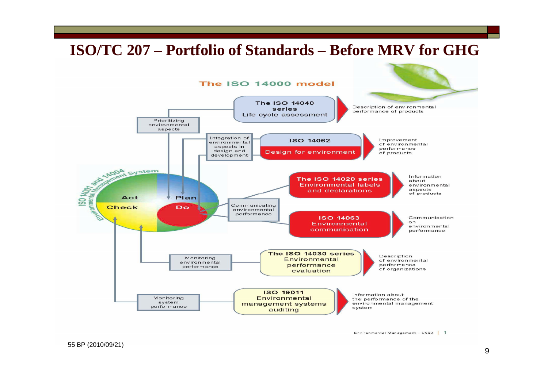#### **ISO/TC 207 – Portfolio of Standards – Before MRV for GHG**



Environmental Management - 2002 | 1

55 BP (2010/09/21)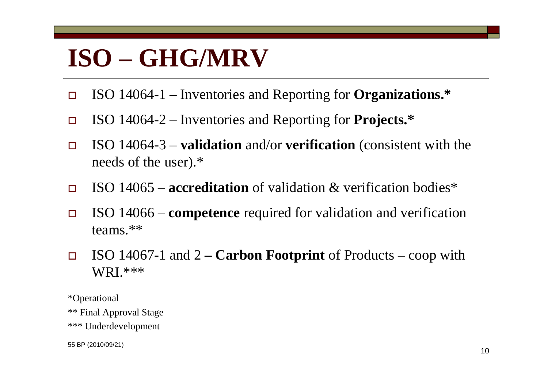## **ISO – GHG/MRV**

- $\Box$ ISO 14064-1 – Inventories and Reporting for **Organizations.\***
- $\Box$ ISO 14064-2 – Inventories and Reporting for **Projects.\***
- $\Box$  ISO 14064-3 – **validation** and/or **verification** (consistent with the needs of the user).\*
- $\Box$ ISO 14065 – **accreditation** of validation & verification bodies\*
- $\Box$  ISO 14066 – **competence** required for validation and verification teams.\*\*
- $\Box$  ISO 14067-1 and 2 **– Carbon Footprint** of Products – coop with WRI.\*\*\*

\*Operational \*\* Final Approval Stage \*\*\* Underdevelopment

55 BP (2010/09/21)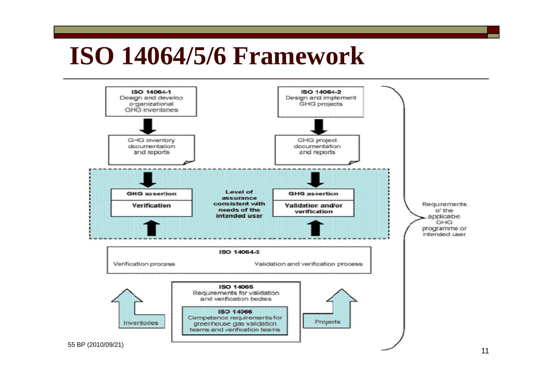## **ISO 14064/5/6 Framework**

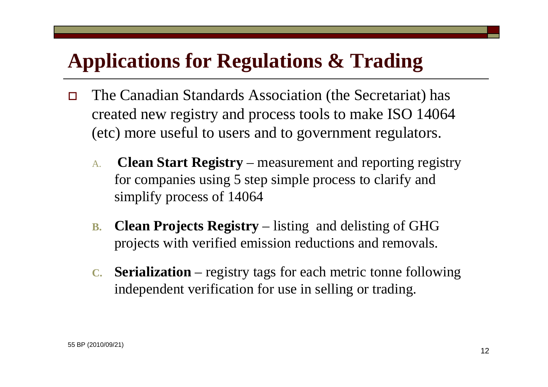## **Applications for Regulations & Trading**

- $\Box$  The Canadian Standards Association (the Secretariat) has created new registry and process tools to make ISO 14064 (etc) more useful to users and to government regulators.
	- A. **Clean Start Registry** – measurement and reporting registry for companies using 5 step simple process to clarify and simplify process of 14064
	- **B. Clean Projects Registry** – listing and delisting of GHG projects with verified emission reductions and removals.
	- **C. Serialization** registry tags for each metric tonne following independent verification for use in selling or trading.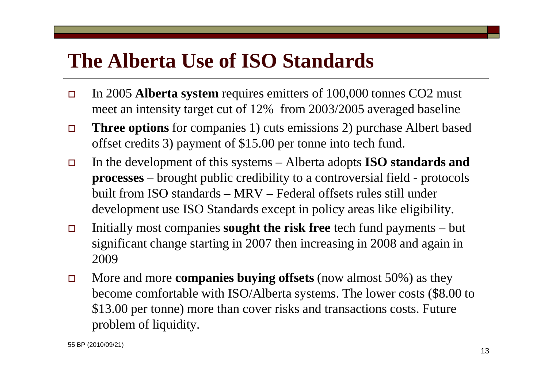## **The Alberta Use of ISO Standards**

- $\Box$  In 2005 **Alberta system** requires emitters of 100,000 tonnes CO2 must meet an intensity target cut of 12% from 2003/2005 averaged baseline
- $\Box$  **Three options** for companies 1) cuts emissions 2) purchase Albert based offset credits 3) payment of \$15.00 per tonne into tech fund.
- $\Box$  In the development of this systems – Alberta adopts **ISO standards and processes** – brought public credibility to a controversial field - protocols built from ISO standards – MRV – Federal offsets rules still under development use ISO Standards except in policy areas like eligibility.
- $\Box$  Initially most companies **sought the risk free** tech fund payments – but significant change starting in 2007 then increasing in 2008 and again in 2009
- $\Box$  More and more **companies buying offsets** (now almost 50%) as they become comfortable with ISO/Alberta systems. The lower costs (\$8.00 to \$13.00 per tonne) more than cover risks and transactions costs. Future problem of liquidity.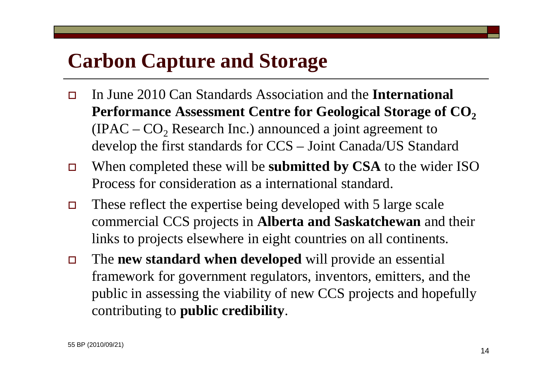## **Carbon Capture and Storage**

- $\Box$  In June 2010 Can Standards Association and the **International Performance Assessment Centre for Geological Storage of CO 2**(IPAC –  $CO_2$  Research Inc.) announced a joint agreement to develop the first standards for CCS – Joint Canada/US Standard
- $\Box$  When completed these will be **submitted by CSA** to the wider ISO Process for consideration as a international standard.
- $\Box$  These reflect the expertise being developed with 5 large scale commercial CCS projects in **Alberta and Saskatchewan** and their links to projects elsewhere in eight countries on all continents.
- $\Box$  The **new standard when developed** will provide an essential framework for government regulators, inventors, emitters, and the public in assessing the viability of new CCS projects and hopefully contributing to **public credibility**.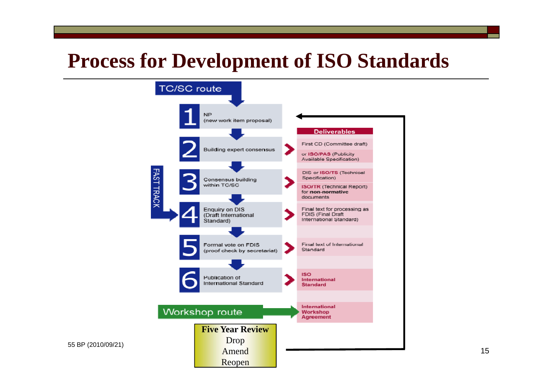### **Process for Development of ISO Standards**

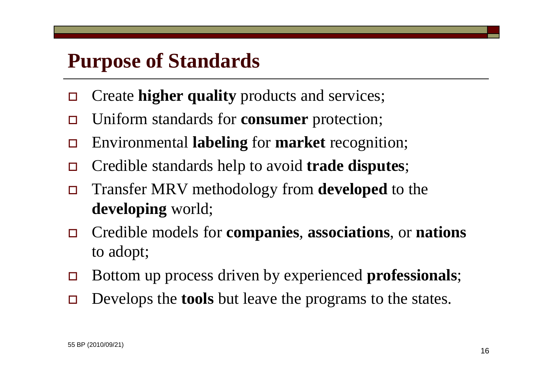### **Purpose of Standards**

- $\Box$ Create **higher quality** products and services;
- $\Box$ Uniform standards for **consumer** protection;
- $\Box$ Environmental **labeling** for **market** recognition;
- $\Box$ Credible standards help to avoid **trade disputes**;
- $\Box$  Transfer MRV methodology from **developed** to the **developing** world;
- $\Box$  Credible models for **companies**, **associations**, or **nations** to adopt;
- $\Box$ Bottom up process driven by experienced **professionals**;
- $\Box$ Develops the **tools** but leave the programs to the states.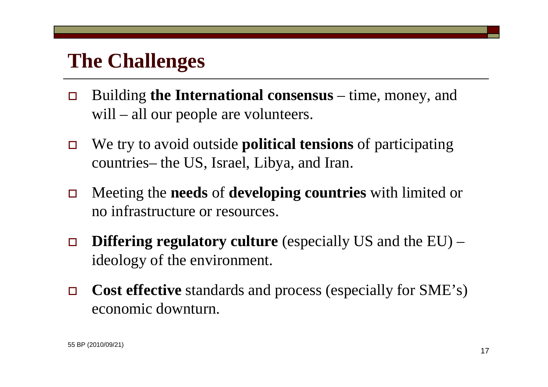### **The Challenges**

- $\Box$  Building **the International consensus** – time, money, and will – all our people are volunteers.
- $\Box$  We try to avoid outside **political tensions** of participating countries– the US, Israel, Libya, and Iran.
- $\Box$  Meeting the **needs** of **developing countries** with limited or no infrastructure or resources.
- $\Box$ **Differing regulatory culture** (especially US and the EU) – ideology of the environment.
- $\Box$  **Cost effective** standards and process (especially for SME's) economic downturn.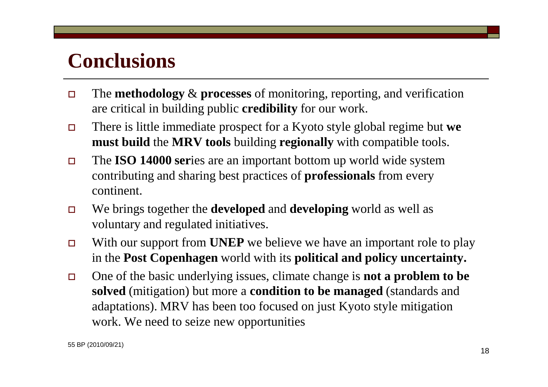### **Conclusions**

- $\Box$  The **methodology** & **processes** of monitoring, reporting, and verification are critical in building public **credibility** for our work.
- $\Box$  There is little immediate prospect for a Kyoto style global regime but **we must build** the **MRV tools** building **regionally** with compatible tools.
- $\Box$  The **ISO 14000 ser**ies are an important bottom up world wide system contributing and sharing best practices of **professionals** from every continent.
- $\Box$  We brings together the **developed** and **developing** world as well as voluntary and regulated initiatives.
- $\Box$  With our support from **UNEP** we believe we have an important role to play in the **Post Copenhagen** world with its **political and policy uncertainty.**
- $\Box$  One of the basic underlying issues, climate change is **not a problem to be solved** (mitigation) but more a **condition to be managed** (standards and adaptations). MRV has been too focused on just Kyoto style mitigation work. We need to seize new opportunities